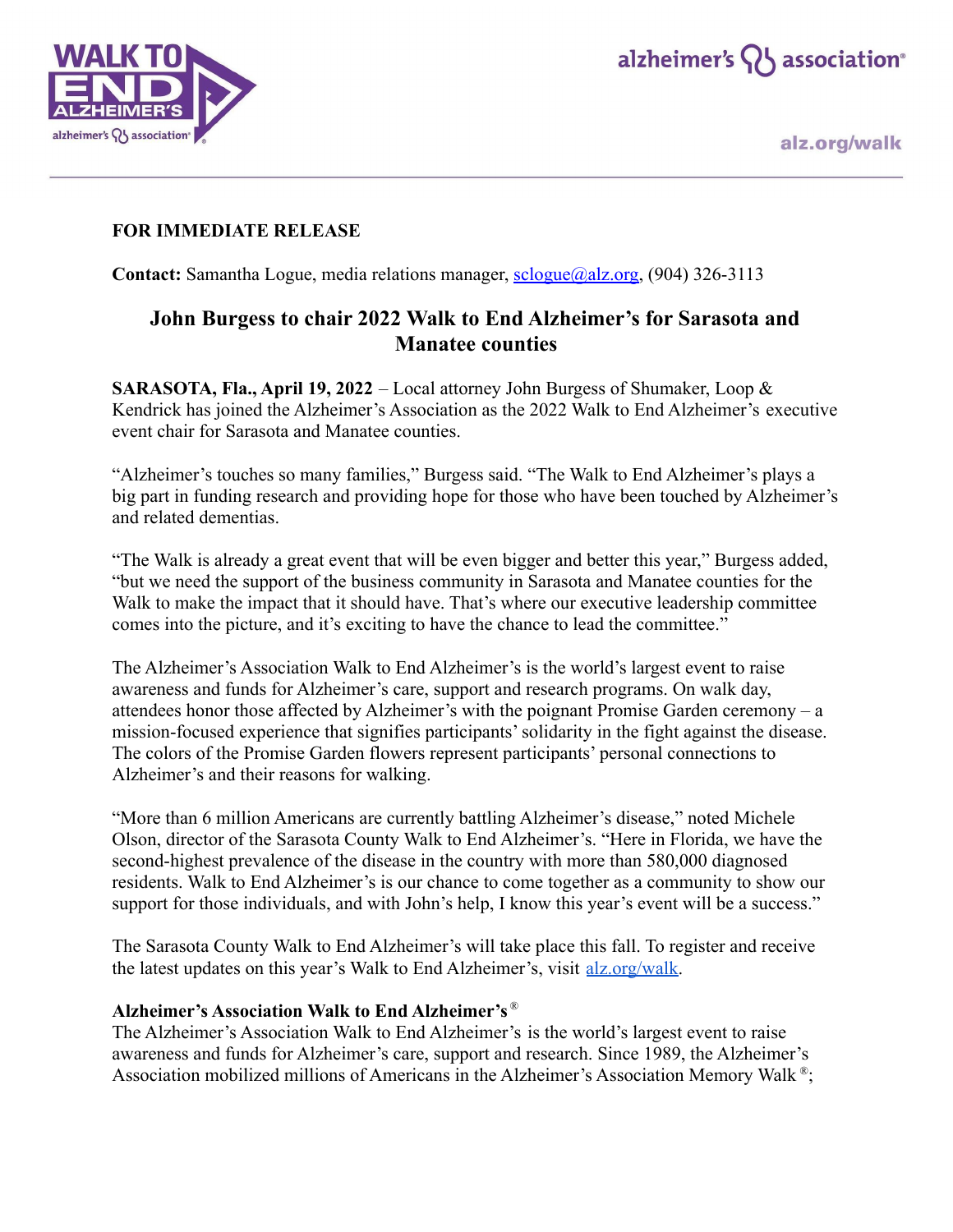



alz.org/walk

## **FOR IMMEDIATE RELEASE**

**Contact:** Samantha Logue, media relations manager, [sclogue@alz.org,](mailto:sclogue@alz.org) (904) 326-3113

## **John Burgess to chair 2022 Walk to End Alzheimer's for Sarasota and Manatee counties**

**SARASOTA, Fla., April 19, 2022** – Local attorney John Burgess of Shumaker, Loop & Kendrick has joined the Alzheimer's Association as the 2022 Walk to End Alzheimer's executive event chair for Sarasota and Manatee counties.

"Alzheimer's touches so many families," Burgess said. "The Walk to End Alzheimer's plays a big part in funding research and providing hope for those who have been touched by Alzheimer's and related dementias.

"The Walk is already a great event that will be even bigger and better this year," Burgess added, "but we need the support of the business community in Sarasota and Manatee counties for the Walk to make the impact that it should have. That's where our executive leadership committee comes into the picture, and it's exciting to have the chance to lead the committee."

The Alzheimer's Association Walk to End Alzheimer's is the world's largest event to raise awareness and funds for Alzheimer's care, support and research programs. On walk day, attendees honor those affected by Alzheimer's with the poignant Promise Garden ceremony – a mission-focused experience that signifies participants' solidarity in the fight against the disease. The colors of the Promise Garden flowers represent participants' personal connections to Alzheimer's and their reasons for walking.

"More than 6 million Americans are currently battling Alzheimer's disease," noted Michele Olson, director of the Sarasota County Walk to End Alzheimer's. "Here in Florida, we have the second-highest prevalence of the disease in the country with more than 580,000 diagnosed residents. Walk to End Alzheimer's is our chance to come together as a community to show our support for those individuals, and with John's help, I know this year's event will be a success."

The Sarasota County Walk to End Alzheimer's will take place this fall. To register and receive the latest updates on this year's Walk to End Alzheimer's, visit [alz.org/walk.](http://www.alz.org/walk)

## **Alzheimer's Association Walk to End Alzheimer's** ®

The Alzheimer's Association Walk to End Alzheimer's is the world's largest event to raise awareness and funds for Alzheimer's care, support and research. Since 1989, the Alzheimer's Association mobilized millions of Americans in the Alzheimer's Association Memory Walk<sup>®</sup>;